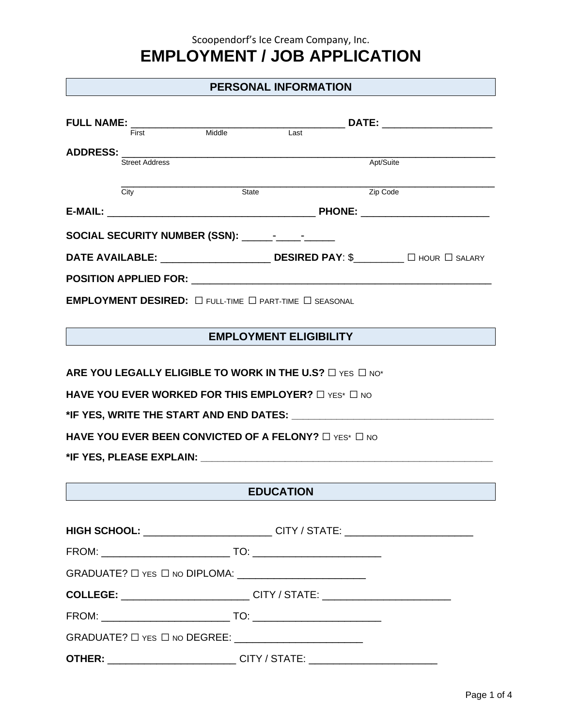### Scoopendorf's Ice Cream Company, Inc.

# **EMPLOYMENT / JOB APPLICATION**

### **PERSONAL INFORMATION**

|  |                       |        | DATE: ________________________                                               |           |  |
|--|-----------------------|--------|------------------------------------------------------------------------------|-----------|--|
|  | First                 | Middle | Last                                                                         |           |  |
|  |                       |        |                                                                              |           |  |
|  | <b>Street Address</b> |        |                                                                              | Apt/Suite |  |
|  |                       |        |                                                                              |           |  |
|  | City                  | State  |                                                                              | Zip Code  |  |
|  |                       |        |                                                                              |           |  |
|  |                       |        |                                                                              |           |  |
|  |                       |        |                                                                              |           |  |
|  |                       |        | <b>POSITION APPLIED FOR:</b> THE RESERVE TO A SERVER THE RESERVER.           |           |  |
|  |                       |        | <b>EMPLOYMENT DESIRED:</b> $\Box$ full-time $\Box$ part-time $\Box$ seasonal |           |  |

# **EMPLOYMENT ELIGIBILITY**

**ARE YOU LEGALLY ELIGIBLE TO WORK IN THE U.S?** □ YES □ NO\*

**HAVE YOU EVER WORKED FOR THIS EMPLOYER?** □ YES\* □ NO

**\*IF YES, WRITE THE START AND END DATES: \_\_\_\_\_\_\_\_\_\_\_\_\_\_\_\_\_\_\_\_\_\_\_\_\_\_\_\_\_\_\_\_\_\_\_\_**

**HAVE YOU EVER BEEN CONVICTED OF A FELONY?** □ YES<sup>\*</sup> □ NO

**\*IF YES, PLEASE EXPLAIN: \_\_\_\_\_\_\_\_\_\_\_\_\_\_\_\_\_\_\_\_\_\_\_\_\_\_\_\_\_\_\_\_\_\_\_\_\_\_\_\_\_\_\_\_\_\_\_\_\_\_\_\_**

# **EDUCATION**

| HIGH SCHOOL: __________________________CITY / STATE: ___________________________      |
|---------------------------------------------------------------------------------------|
|                                                                                       |
|                                                                                       |
| COLLEGE: _____________________________CITY / STATE: ____________________________      |
|                                                                                       |
|                                                                                       |
| <b>OTHER:</b> ___________________________CITY / STATE: ______________________________ |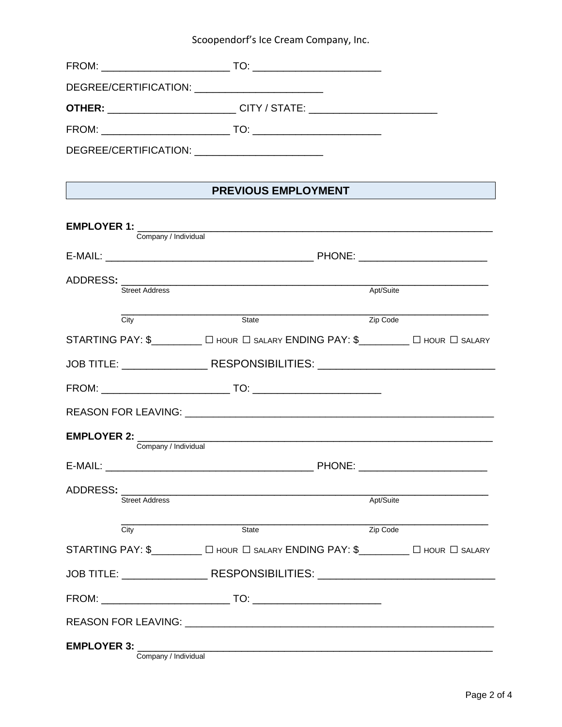# Scoopendorf's Ice Cream Company, Inc.

| DEGREE/CERTIFICATION: ___________________________                                      |  |  |
|----------------------------------------------------------------------------------------|--|--|
| <b>OTHER:</b> __________________________CITY / STATE: ________________________________ |  |  |
|                                                                                        |  |  |
| DEGREE/CERTIFICATION: ___________________________                                      |  |  |

# **PREVIOUS EMPLOYMENT**

|                  |                                            | <b>EMPLOYER 1:</b> The contract of the contract of the contract of the contract of the contract of the contract of the contract of the contract of the contract of the contract of the contract of the contract of the contract of |           |  |
|------------------|--------------------------------------------|------------------------------------------------------------------------------------------------------------------------------------------------------------------------------------------------------------------------------------|-----------|--|
|                  | Company / Individual                       |                                                                                                                                                                                                                                    |           |  |
|                  |                                            |                                                                                                                                                                                                                                    |           |  |
| ADDRESS: _______ |                                            |                                                                                                                                                                                                                                    |           |  |
|                  | <b>Street Address</b>                      |                                                                                                                                                                                                                                    | Apt/Suite |  |
|                  | City                                       | State                                                                                                                                                                                                                              | Zip Code  |  |
|                  |                                            | STARTING PAY: \$________ [ HOUR   SALARY ENDING PAY: \$_______ [ HOUR   SALARY                                                                                                                                                     |           |  |
|                  |                                            | JOB TITLE: ______________________RESPONSIBILITIES: _____________________________                                                                                                                                                   |           |  |
|                  |                                            |                                                                                                                                                                                                                                    |           |  |
|                  |                                            |                                                                                                                                                                                                                                    |           |  |
|                  |                                            | <b>EMPLOYER 2:</b> The contract of the contract of the contract of the contract of the contract of the contract of the contract of the contract of the contract of the contract of the contract of the contract of the contract of |           |  |
|                  | Company / Individual                       |                                                                                                                                                                                                                                    |           |  |
|                  |                                            |                                                                                                                                                                                                                                    |           |  |
|                  | <b>Street Address</b>                      |                                                                                                                                                                                                                                    | Apt/Suite |  |
|                  |                                            |                                                                                                                                                                                                                                    |           |  |
|                  | $\overline{City}$                          | State                                                                                                                                                                                                                              | Zip Code  |  |
|                  |                                            | STARTING PAY: \$________ [ HOUR   SALARY ENDING PAY: \$_______ [ HOUR   SALARY                                                                                                                                                     |           |  |
|                  |                                            | JOB TITLE: _________________RESPONSIBILITIES: __________________________________                                                                                                                                                   |           |  |
|                  |                                            |                                                                                                                                                                                                                                    |           |  |
|                  |                                            | REASON FOR LEAVING: THE REASON OF THE REASON FOR LEAVING:                                                                                                                                                                          |           |  |
|                  | <b>EMPLOYER 3:</b><br>Company / Individual |                                                                                                                                                                                                                                    |           |  |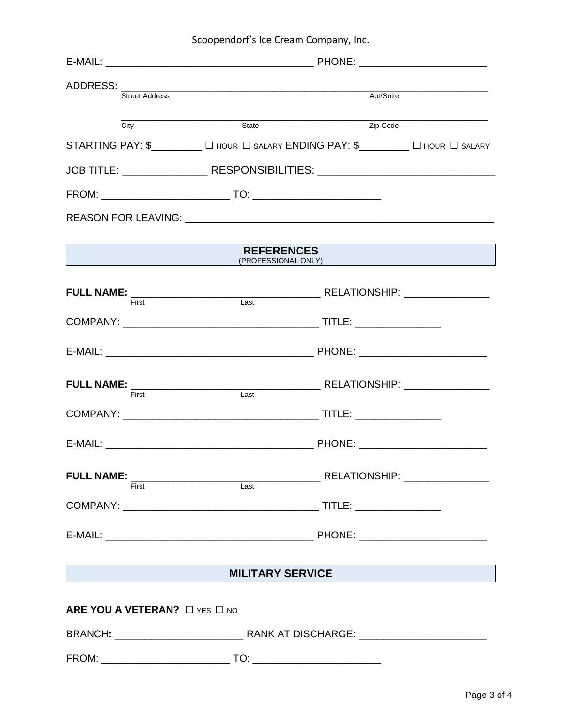| Scoopendorf's Ice Cream Company, Inc. |  |  |  |
|---------------------------------------|--|--|--|
|---------------------------------------|--|--|--|

| <b>Street Address</b>         |                                                                                  | Apt/Suite           |  |
|-------------------------------|----------------------------------------------------------------------------------|---------------------|--|
|                               |                                                                                  |                     |  |
| City                          | State                                                                            | Zip Code            |  |
|                               | STARTING PAY: \$________ [ HOUR   SALARY ENDING PAY: \$________ [ HOUR   SALARY  |                     |  |
|                               | JOB TITLE: _____________________RESPONSIBILITIES: ______________________________ |                     |  |
|                               |                                                                                  |                     |  |
|                               |                                                                                  |                     |  |
|                               | <b>REFERENCES</b>                                                                |                     |  |
|                               |                                                                                  | (PROFESSIONAL ONLY) |  |
| First                         | Last                                                                             |                     |  |
|                               |                                                                                  |                     |  |
|                               |                                                                                  |                     |  |
| First                         | Last                                                                             |                     |  |
|                               |                                                                                  |                     |  |
|                               |                                                                                  |                     |  |
|                               |                                                                                  |                     |  |
|                               |                                                                                  |                     |  |
|                               |                                                                                  |                     |  |
|                               | MILITARY SERVICE                                                                 |                     |  |
|                               |                                                                                  |                     |  |
| ARE YOU A VETERAN? O YES O NO |                                                                                  |                     |  |
|                               |                                                                                  |                     |  |
|                               |                                                                                  |                     |  |